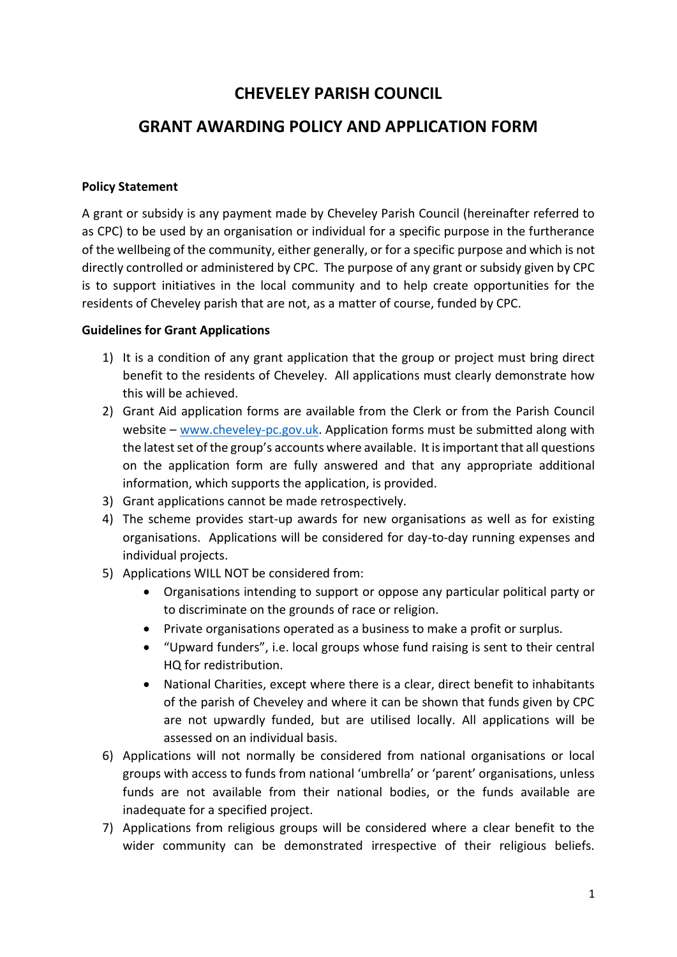# **CHEVELEY PARISH COUNCIL**

## **GRANT AWARDING POLICY AND APPLICATION FORM**

#### **Policy Statement**

A grant or subsidy is any payment made by Cheveley Parish Council (hereinafter referred to as CPC) to be used by an organisation or individual for a specific purpose in the furtherance of the wellbeing of the community, either generally, or for a specific purpose and which is not directly controlled or administered by CPC. The purpose of any grant or subsidy given by CPC is to support initiatives in the local community and to help create opportunities for the residents of Cheveley parish that are not, as a matter of course, funded by CPC.

#### **Guidelines for Grant Applications**

- 1) It is a condition of any grant application that the group or project must bring direct benefit to the residents of Cheveley. All applications must clearly demonstrate how this will be achieved.
- 2) Grant Aid application forms are available from the Clerk or from the Parish Council website – [www.cheveley-pc.gov.uk.](http://www.cheveley-pc.gov.uk/) Application forms must be submitted along with the latest set of the group's accounts where available. It is important that all questions on the application form are fully answered and that any appropriate additional information, which supports the application, is provided.
- 3) Grant applications cannot be made retrospectively.
- 4) The scheme provides start-up awards for new organisations as well as for existing organisations. Applications will be considered for day-to-day running expenses and individual projects.
- 5) Applications WILL NOT be considered from:
	- Organisations intending to support or oppose any particular political party or to discriminate on the grounds of race or religion.
	- Private organisations operated as a business to make a profit or surplus.
	- "Upward funders", i.e. local groups whose fund raising is sent to their central HQ for redistribution.
	- National Charities, except where there is a clear, direct benefit to inhabitants of the parish of Cheveley and where it can be shown that funds given by CPC are not upwardly funded, but are utilised locally. All applications will be assessed on an individual basis.
- 6) Applications will not normally be considered from national organisations or local groups with access to funds from national 'umbrella' or 'parent' organisations, unless funds are not available from their national bodies, or the funds available are inadequate for a specified project.
- 7) Applications from religious groups will be considered where a clear benefit to the wider community can be demonstrated irrespective of their religious beliefs.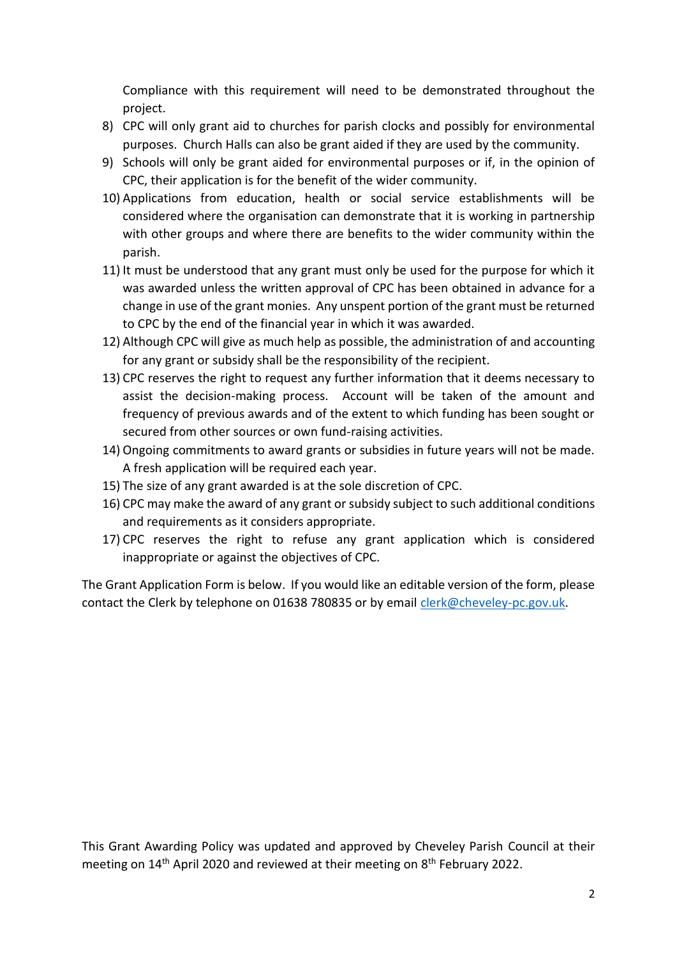Compliance with this requirement will need to be demonstrated throughout the project.

- 8) CPC will only grant aid to churches for parish clocks and possibly for environmental purposes. Church Halls can also be grant aided if they are used by the community.
- 9) Schools will only be grant aided for environmental purposes or if, in the opinion of CPC, their application is for the benefit of the wider community.
- 10) Applications from education, health or social service establishments will be considered where the organisation can demonstrate that it is working in partnership with other groups and where there are benefits to the wider community within the parish.
- 11) It must be understood that any grant must only be used for the purpose for which it was awarded unless the written approval of CPC has been obtained in advance for a change in use of the grant monies. Any unspent portion of the grant must be returned to CPC by the end of the financial year in which it was awarded.
- 12) Although CPC will give as much help as possible, the administration of and accounting for any grant or subsidy shall be the responsibility of the recipient.
- 13) CPC reserves the right to request any further information that it deems necessary to assist the decision-making process. Account will be taken of the amount and frequency of previous awards and of the extent to which funding has been sought or secured from other sources or own fund-raising activities.
- 14) Ongoing commitments to award grants or subsidies in future years will not be made. A fresh application will be required each year.
- 15) The size of any grant awarded is at the sole discretion of CPC.
- 16) CPC may make the award of any grant or subsidy subject to such additional conditions and requirements as it considers appropriate.
- 17) CPC reserves the right to refuse any grant application which is considered inappropriate or against the objectives of CPC.

The Grant Application Form is below. If you would like an editable version of the form, please contact the Clerk by telephone on 01638 780835 or by email [clerk@cheveley-pc.gov.uk.](mailto:clerk@cheveley-pc.gov.uk)

This Grant Awarding Policy was updated and approved by Cheveley Parish Council at their meeting on 14<sup>th</sup> April 2020 and reviewed at their meeting on 8<sup>th</sup> February 2022.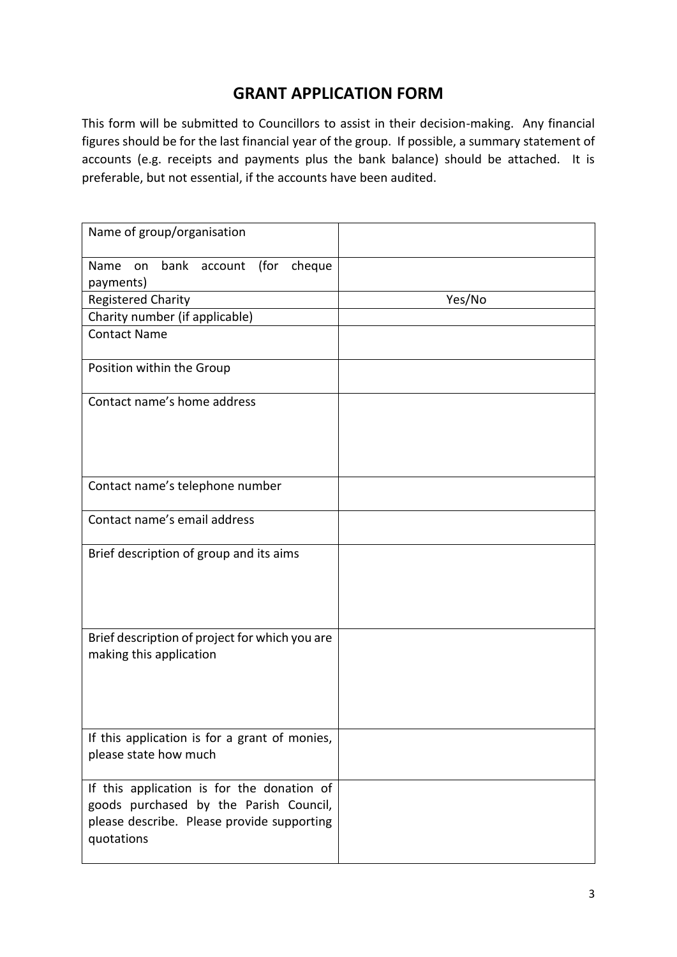## **GRANT APPLICATION FORM**

This form will be submitted to Councillors to assist in their decision-making. Any financial figures should be for the last financial year of the group. If possible, a summary statement of accounts (e.g. receipts and payments plus the bank balance) should be attached. It is preferable, but not essential, if the accounts have been audited.

| Name of group/organisation                                                                                                                       |        |
|--------------------------------------------------------------------------------------------------------------------------------------------------|--------|
| on bank account<br>(for<br>Name<br>cheque<br>payments)                                                                                           |        |
| <b>Registered Charity</b>                                                                                                                        | Yes/No |
| Charity number (if applicable)                                                                                                                   |        |
| <b>Contact Name</b>                                                                                                                              |        |
| Position within the Group                                                                                                                        |        |
| Contact name's home address                                                                                                                      |        |
| Contact name's telephone number                                                                                                                  |        |
| Contact name's email address                                                                                                                     |        |
| Brief description of group and its aims                                                                                                          |        |
| Brief description of project for which you are<br>making this application                                                                        |        |
| If this application is for a grant of monies,<br>please state how much                                                                           |        |
| If this application is for the donation of<br>goods purchased by the Parish Council,<br>please describe. Please provide supporting<br>quotations |        |